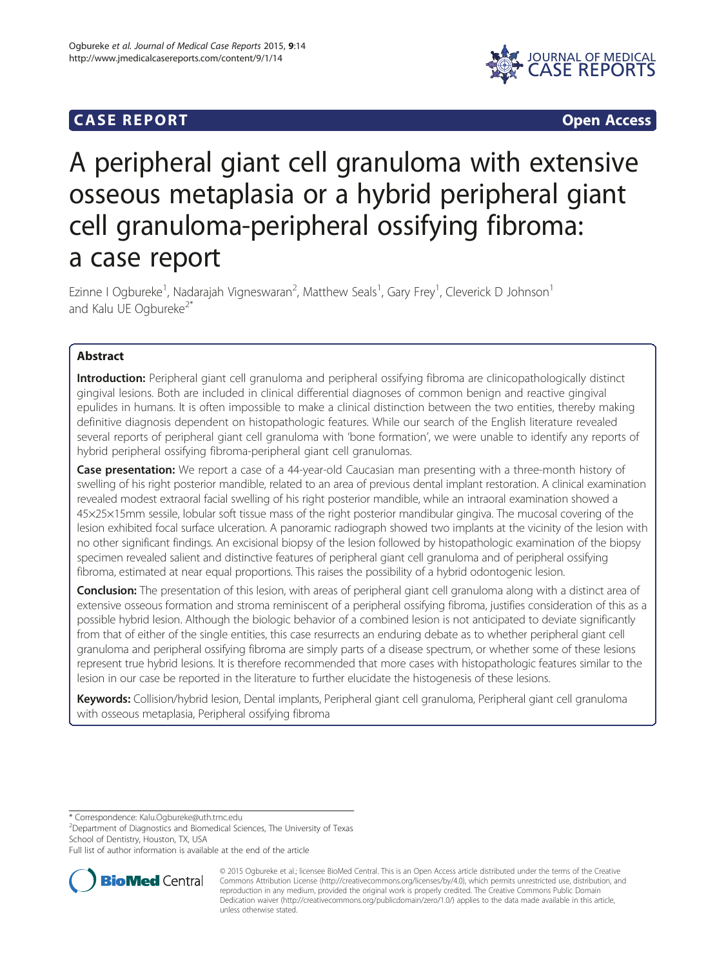## **CASE REPORT CASE REPORT**



# A peripheral giant cell granuloma with extensive osseous metaplasia or a hybrid peripheral giant cell granuloma-peripheral ossifying fibroma: a case report

Ezinne I Ogbureke<sup>1</sup>, Nadarajah Vigneswaran<sup>2</sup>, Matthew Seals<sup>1</sup>, Gary Frey<sup>1</sup>, Cleverick D Johnson<sup>1</sup> and Kalu UE Ogbureke<sup>2\*</sup>

## Abstract

Introduction: Peripheral giant cell granuloma and peripheral ossifying fibroma are clinicopathologically distinct gingival lesions. Both are included in clinical differential diagnoses of common benign and reactive gingival epulides in humans. It is often impossible to make a clinical distinction between the two entities, thereby making definitive diagnosis dependent on histopathologic features. While our search of the English literature revealed several reports of peripheral giant cell granuloma with 'bone formation', we were unable to identify any reports of hybrid peripheral ossifying fibroma-peripheral giant cell granulomas.

Case presentation: We report a case of a 44-year-old Caucasian man presenting with a three-month history of swelling of his right posterior mandible, related to an area of previous dental implant restoration. A clinical examination revealed modest extraoral facial swelling of his right posterior mandible, while an intraoral examination showed a 45×25×15mm sessile, lobular soft tissue mass of the right posterior mandibular gingiva. The mucosal covering of the lesion exhibited focal surface ulceration. A panoramic radiograph showed two implants at the vicinity of the lesion with no other significant findings. An excisional biopsy of the lesion followed by histopathologic examination of the biopsy specimen revealed salient and distinctive features of peripheral giant cell granuloma and of peripheral ossifying fibroma, estimated at near equal proportions. This raises the possibility of a hybrid odontogenic lesion.

Conclusion: The presentation of this lesion, with areas of peripheral giant cell granuloma along with a distinct area of extensive osseous formation and stroma reminiscent of a peripheral ossifying fibroma, justifies consideration of this as a possible hybrid lesion. Although the biologic behavior of a combined lesion is not anticipated to deviate significantly from that of either of the single entities, this case resurrects an enduring debate as to whether peripheral giant cell granuloma and peripheral ossifying fibroma are simply parts of a disease spectrum, or whether some of these lesions represent true hybrid lesions. It is therefore recommended that more cases with histopathologic features similar to the lesion in our case be reported in the literature to further elucidate the histogenesis of these lesions.

Keywords: Collision/hybrid lesion, Dental implants, Peripheral giant cell granuloma, Peripheral giant cell granuloma with osseous metaplasia, Peripheral ossifying fibroma

\* Correspondence: [Kalu.Ogbureke@uth.tmc.edu](mailto:Kalu.Ogbureke@uth.tmc.edu) <sup>2</sup>

<sup>2</sup>Department of Diagnostics and Biomedical Sciences, The University of Texas School of Dentistry, Houston, TX, USA

Full list of author information is available at the end of the article



© 2015 Ogbureke et al.; licensee BioMed Central. This is an Open Access article distributed under the terms of the Creative Commons Attribution License [\(http://creativecommons.org/licenses/by/4.0\)](http://creativecommons.org/licenses/by/4.0), which permits unrestricted use, distribution, and reproduction in any medium, provided the original work is properly credited. The Creative Commons Public Domain Dedication waiver [\(http://creativecommons.org/publicdomain/zero/1.0/](http://creativecommons.org/publicdomain/zero/1.0/)) applies to the data made available in this article, unless otherwise stated.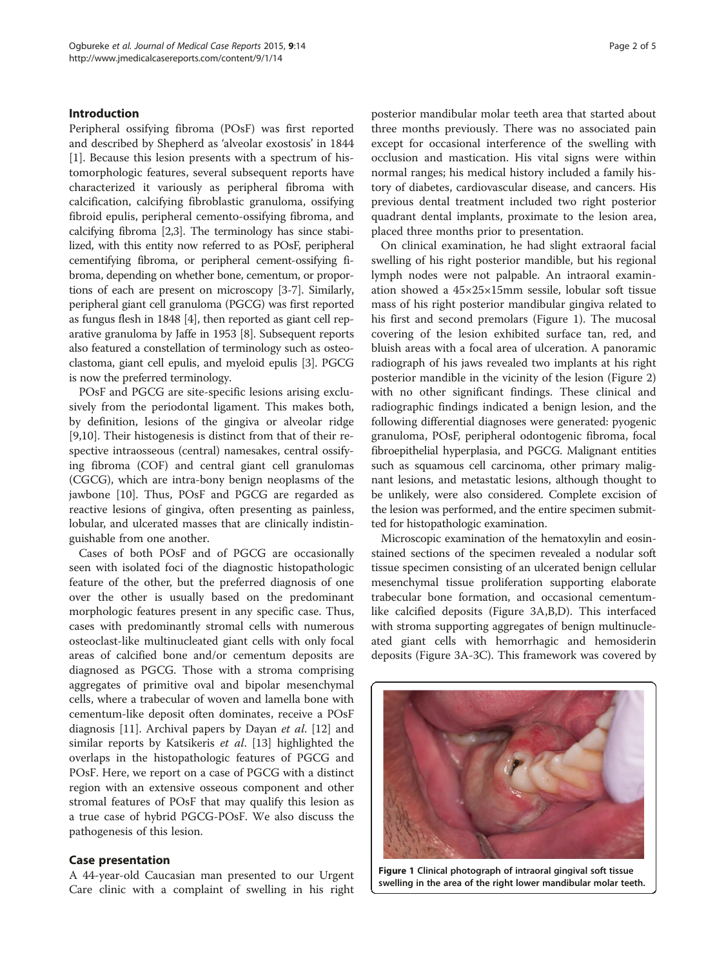## Introduction

Peripheral ossifying fibroma (POsF) was first reported and described by Shepherd as 'alveolar exostosis' in 1844 [[1\]](#page-3-0). Because this lesion presents with a spectrum of histomorphologic features, several subsequent reports have characterized it variously as peripheral fibroma with calcification, calcifying fibroblastic granuloma, ossifying fibroid epulis, peripheral cemento-ossifying fibroma, and calcifying fibroma [[2,3](#page-3-0)]. The terminology has since stabilized, with this entity now referred to as POsF, peripheral cementifying fibroma, or peripheral cement-ossifying fibroma, depending on whether bone, cementum, or proportions of each are present on microscopy [\[3-7](#page-3-0)]. Similarly, peripheral giant cell granuloma (PGCG) was first reported as fungus flesh in 1848 [\[4\]](#page-3-0), then reported as giant cell reparative granuloma by Jaffe in 1953 [\[8\]](#page-3-0). Subsequent reports also featured a constellation of terminology such as osteoclastoma, giant cell epulis, and myeloid epulis [\[3](#page-3-0)]. PGCG is now the preferred terminology.

POsF and PGCG are site-specific lesions arising exclusively from the periodontal ligament. This makes both, by definition, lesions of the gingiva or alveolar ridge [[9,10\]](#page-3-0). Their histogenesis is distinct from that of their respective intraosseous (central) namesakes, central ossifying fibroma (COF) and central giant cell granulomas (CGCG), which are intra-bony benign neoplasms of the jawbone [\[10](#page-3-0)]. Thus, POsF and PGCG are regarded as reactive lesions of gingiva, often presenting as painless, lobular, and ulcerated masses that are clinically indistinguishable from one another.

Cases of both POsF and of PGCG are occasionally seen with isolated foci of the diagnostic histopathologic feature of the other, but the preferred diagnosis of one over the other is usually based on the predominant morphologic features present in any specific case. Thus, cases with predominantly stromal cells with numerous osteoclast-like multinucleated giant cells with only focal areas of calcified bone and/or cementum deposits are diagnosed as PGCG. Those with a stroma comprising aggregates of primitive oval and bipolar mesenchymal cells, where a trabecular of woven and lamella bone with cementum-like deposit often dominates, receive a POsF diagnosis [\[11\]](#page-3-0). Archival papers by Dayan et al. [[12\]](#page-3-0) and similar reports by Katsikeris *et al.* [\[13\]](#page-3-0) highlighted the overlaps in the histopathologic features of PGCG and POsF. Here, we report on a case of PGCG with a distinct region with an extensive osseous component and other stromal features of POsF that may qualify this lesion as a true case of hybrid PGCG-POsF. We also discuss the pathogenesis of this lesion.

### Case presentation

A 44-year-old Caucasian man presented to our Urgent Care clinic with a complaint of swelling in his right posterior mandibular molar teeth area that started about three months previously. There was no associated pain except for occasional interference of the swelling with occlusion and mastication. His vital signs were within normal ranges; his medical history included a family history of diabetes, cardiovascular disease, and cancers. His previous dental treatment included two right posterior quadrant dental implants, proximate to the lesion area, placed three months prior to presentation.

On clinical examination, he had slight extraoral facial swelling of his right posterior mandible, but his regional lymph nodes were not palpable. An intraoral examination showed a 45×25×15mm sessile, lobular soft tissue mass of his right posterior mandibular gingiva related to his first and second premolars (Figure 1). The mucosal covering of the lesion exhibited surface tan, red, and bluish areas with a focal area of ulceration. A panoramic radiograph of his jaws revealed two implants at his right posterior mandible in the vicinity of the lesion (Figure [2](#page-2-0)) with no other significant findings. These clinical and radiographic findings indicated a benign lesion, and the following differential diagnoses were generated: pyogenic granuloma, POsF, peripheral odontogenic fibroma, focal fibroepithelial hyperplasia, and PGCG. Malignant entities such as squamous cell carcinoma, other primary malignant lesions, and metastatic lesions, although thought to be unlikely, were also considered. Complete excision of the lesion was performed, and the entire specimen submitted for histopathologic examination.

Microscopic examination of the hematoxylin and eosinstained sections of the specimen revealed a nodular soft tissue specimen consisting of an ulcerated benign cellular mesenchymal tissue proliferation supporting elaborate trabecular bone formation, and occasional cementumlike calcified deposits (Figure [3](#page-2-0)A,B,D). This interfaced with stroma supporting aggregates of benign multinucleated giant cells with hemorrhagic and hemosiderin deposits (Figure [3A-3](#page-2-0)C). This framework was covered by



Figure 1 Clinical photograph of intraoral gingival soft tissue swelling in the area of the right lower mandibular molar teeth.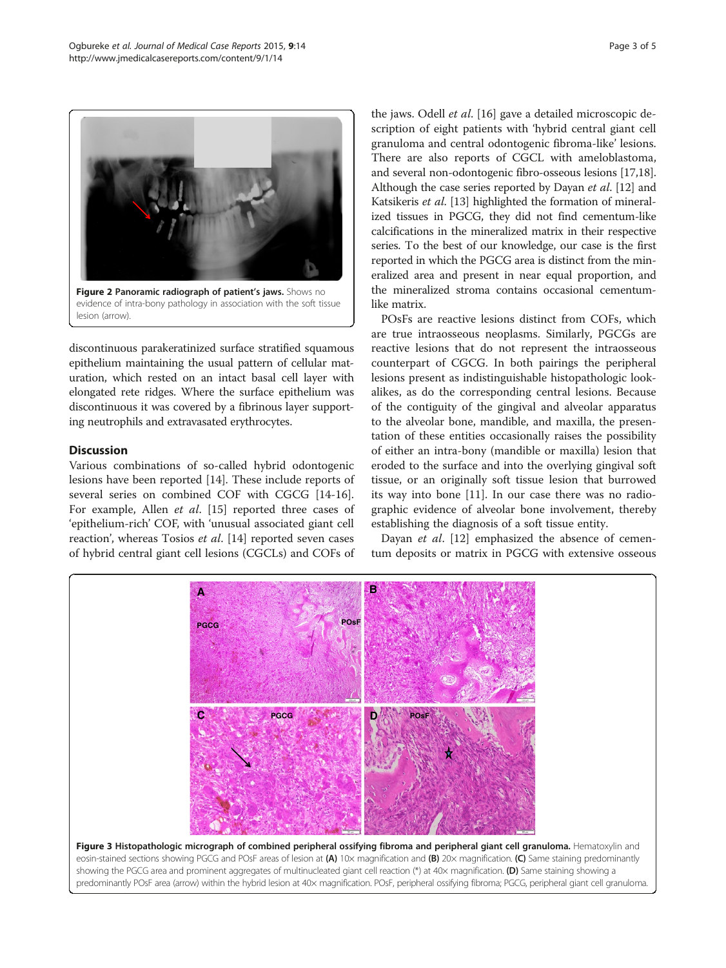<span id="page-2-0"></span>

discontinuous parakeratinized surface stratified squamous epithelium maintaining the usual pattern of cellular maturation, which rested on an intact basal cell layer with elongated rete ridges. Where the surface epithelium was discontinuous it was covered by a fibrinous layer supporting neutrophils and extravasated erythrocytes.

## **Discussion**

Various combinations of so-called hybrid odontogenic lesions have been reported [\[14\]](#page-3-0). These include reports of several series on combined COF with CGCG [\[14-16](#page-3-0)]. For example, Allen *et al.* [\[15](#page-3-0)] reported three cases of 'epithelium-rich' COF, with 'unusual associated giant cell reaction', whereas Tosios et al. [[14\]](#page-3-0) reported seven cases of hybrid central giant cell lesions (CGCLs) and COFs of

the jaws. Odell *et al.* [[16](#page-3-0)] gave a detailed microscopic description of eight patients with 'hybrid central giant cell granuloma and central odontogenic fibroma-like' lesions. There are also reports of CGCL with ameloblastoma, and several non-odontogenic fibro-osseous lesions [\[17,18](#page-4-0)]. Although the case series reported by Dayan et al. [\[12\]](#page-3-0) and Katsikeris et al. [\[13](#page-3-0)] highlighted the formation of mineralized tissues in PGCG, they did not find cementum-like calcifications in the mineralized matrix in their respective series. To the best of our knowledge, our case is the first reported in which the PGCG area is distinct from the mineralized area and present in near equal proportion, and the mineralized stroma contains occasional cementumlike matrix.

POsFs are reactive lesions distinct from COFs, which are true intraosseous neoplasms. Similarly, PGCGs are reactive lesions that do not represent the intraosseous counterpart of CGCG. In both pairings the peripheral lesions present as indistinguishable histopathologic lookalikes, as do the corresponding central lesions. Because of the contiguity of the gingival and alveolar apparatus to the alveolar bone, mandible, and maxilla, the presentation of these entities occasionally raises the possibility of either an intra-bony (mandible or maxilla) lesion that eroded to the surface and into the overlying gingival soft tissue, or an originally soft tissue lesion that burrowed its way into bone [\[11\]](#page-3-0). In our case there was no radiographic evidence of alveolar bone involvement, thereby establishing the diagnosis of a soft tissue entity.

Dayan *et al.* [\[12](#page-3-0)] emphasized the absence of cementum deposits or matrix in PGCG with extensive osseous

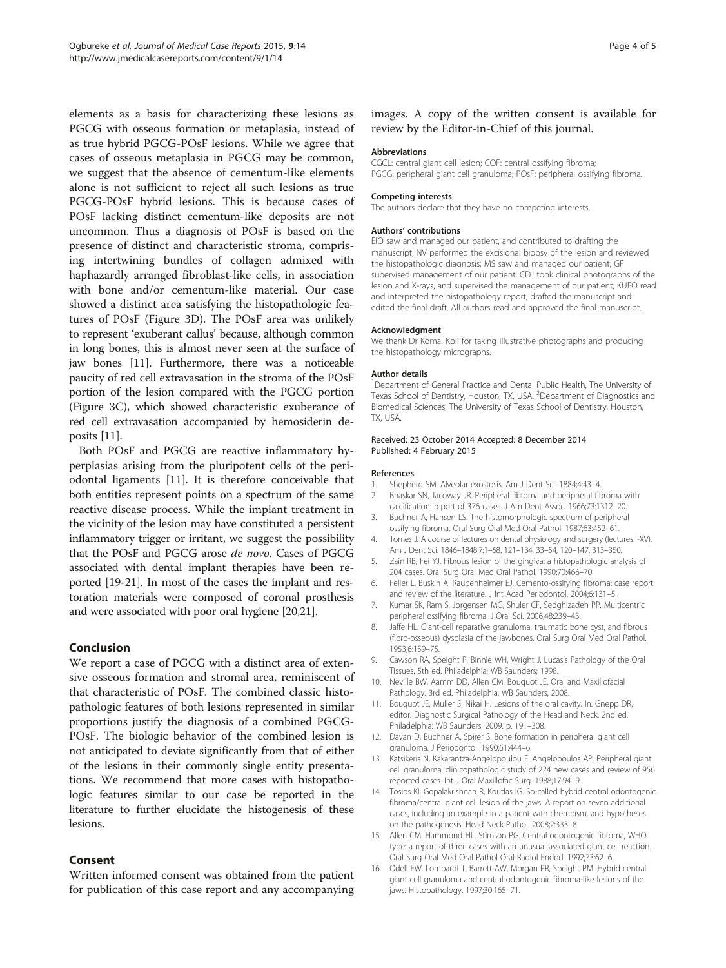<span id="page-3-0"></span>elements as a basis for characterizing these lesions as PGCG with osseous formation or metaplasia, instead of as true hybrid PGCG-POsF lesions. While we agree that cases of osseous metaplasia in PGCG may be common, we suggest that the absence of cementum-like elements alone is not sufficient to reject all such lesions as true PGCG-POsF hybrid lesions. This is because cases of POsF lacking distinct cementum-like deposits are not uncommon. Thus a diagnosis of POsF is based on the presence of distinct and characteristic stroma, comprising intertwining bundles of collagen admixed with haphazardly arranged fibroblast-like cells, in association with bone and/or cementum-like material. Our case showed a distinct area satisfying the histopathologic features of POsF (Figure [3](#page-2-0)D). The POsF area was unlikely to represent 'exuberant callus' because, although common in long bones, this is almost never seen at the surface of jaw bones [11]. Furthermore, there was a noticeable paucity of red cell extravasation in the stroma of the POsF portion of the lesion compared with the PGCG portion (Figure [3C](#page-2-0)), which showed characteristic exuberance of red cell extravasation accompanied by hemosiderin deposits [11].

Both POsF and PGCG are reactive inflammatory hyperplasias arising from the pluripotent cells of the periodontal ligaments [11]. It is therefore conceivable that both entities represent points on a spectrum of the same reactive disease process. While the implant treatment in the vicinity of the lesion may have constituted a persistent inflammatory trigger or irritant, we suggest the possibility that the POsF and PGCG arose de novo. Cases of PGCG associated with dental implant therapies have been reported [\[19](#page-4-0)-[21](#page-4-0)]. In most of the cases the implant and restoration materials were composed of coronal prosthesis and were associated with poor oral hygiene [\[20,21\]](#page-4-0).

## Conclusion

We report a case of PGCG with a distinct area of extensive osseous formation and stromal area, reminiscent of that characteristic of POsF. The combined classic histopathologic features of both lesions represented in similar proportions justify the diagnosis of a combined PGCG-POsF. The biologic behavior of the combined lesion is not anticipated to deviate significantly from that of either of the lesions in their commonly single entity presentations. We recommend that more cases with histopathologic features similar to our case be reported in the literature to further elucidate the histogenesis of these lesions.

## Consent

Written informed consent was obtained from the patient for publication of this case report and any accompanying images. A copy of the written consent is available for review by the Editor-in-Chief of this journal.

#### Abbreviations

CGCL: central giant cell lesion; COF: central ossifying fibroma; PGCG: peripheral giant cell granuloma; POsF: peripheral ossifying fibroma.

#### Competing interests

The authors declare that they have no competing interests.

#### Authors' contributions

EIO saw and managed our patient, and contributed to drafting the manuscript; NV performed the excisional biopsy of the lesion and reviewed the histopathologic diagnosis; MS saw and managed our patient; GF supervised management of our patient; CDJ took clinical photographs of the lesion and X-rays, and supervised the management of our patient; KUEO read and interpreted the histopathology report, drafted the manuscript and edited the final draft. All authors read and approved the final manuscript.

#### Acknowledgment

We thank Dr Komal Koli for taking illustrative photographs and producing the histopathology micrographs.

#### Author details

<sup>1</sup>Department of General Practice and Dental Public Health, The University of Texas School of Dentistry, Houston, TX, USA. <sup>2</sup>Department of Diagnostics and Biomedical Sciences, The University of Texas School of Dentistry, Houston, TX, USA.

#### Received: 23 October 2014 Accepted: 8 December 2014 Published: 4 February 2015

#### References

- 1. Shepherd SM. Alveolar exostosis. Am J Dent Sci. 1884;4:43–4.
- 2. Bhaskar SN, Jacoway JR. Peripheral fibroma and peripheral fibroma with calcification: report of 376 cases. J Am Dent Assoc. 1966;73:1312–20.
- 3. Buchner A, Hansen LS. The histomorphologic spectrum of peripheral ossifying fibroma. Oral Surg Oral Med Oral Pathol. 1987;63:452–61.
- 4. Tomes J. A course of lectures on dental physiology and surgery (lectures I-XV). Am J Dent Sci. 1846–1848;7:1–68. 121–134, 33–54, 120–147, 313–350.
- 5. Zain RB, Fei YJ. Fibrous lesion of the gingiva: a histopathologic analysis of 204 cases. Oral Surg Oral Med Oral Pathol. 1990;70:466–70.
- 6. Feller L, Buskin A, Raubenheimer EJ. Cemento-ossifying fibroma: case report and review of the literature. J Int Acad Periodontol. 2004;6:131–5.
- 7. Kumar SK, Ram S, Jorgensen MG, Shuler CF, Sedghizadeh PP. Multicentric peripheral ossifying fibroma. J Oral Sci. 2006;48:239–43.
- 8. Jaffe HL. Giant-cell reparative granuloma, traumatic bone cyst, and fibrous (fibro-osseous) dysplasia of the jawbones. Oral Surg Oral Med Oral Pathol. 1953;6:159–75.
- 9. Cawson RA, Speight P, Binnie WH, Wright J. Lucas's Pathology of the Oral Tissues. 5th ed. Philadelphia: WB Saunders; 1998.
- 10. Neville BW, Aamm DD, Allen CM, Bouquot JE. Oral and Maxillofacial Pathology. 3rd ed. Philadelphia: WB Saunders; 2008.
- 11. Bouquot JE, Muller S, Nikai H. Lesions of the oral cavity. In: Gnepp DR, editor. Diagnostic Surgical Pathology of the Head and Neck. 2nd ed. Philadelphia: WB Saunders; 2009. p. 191–308.
- 12. Dayan D, Buchner A, Spirer S. Bone formation in peripheral giant cell granuloma. J Periodontol. 1990;61:444–6.
- 13. Katsikeris N, Kakarantza-Angelopoulou E, Angelopoulos AP. Peripheral giant cell granuloma: clinicopathologic study of 224 new cases and review of 956 reported cases. Int J Oral Maxillofac Surg. 1988;17:94–9.
- 14. Tosios KI, Gopalakrishnan R, Koutlas IG. So-called hybrid central odontogenic fibroma/central giant cell lesion of the jaws. A report on seven additional cases, including an example in a patient with cherubism, and hypotheses on the pathogenesis. Head Neck Pathol. 2008;2:333–8.
- 15. Allen CM, Hammond HL, Stimson PG. Central odontogenic fibroma, WHO type: a report of three cases with an unusual associated giant cell reaction. Oral Surg Oral Med Oral Pathol Oral Radiol Endod. 1992;73:62–6.
- 16. Odell EW, Lombardi T, Barrett AW, Morgan PR, Speight PM. Hybrid central giant cell granuloma and central odontogenic fibroma-like lesions of the jaws. Histopathology. 1997;30:165–71.